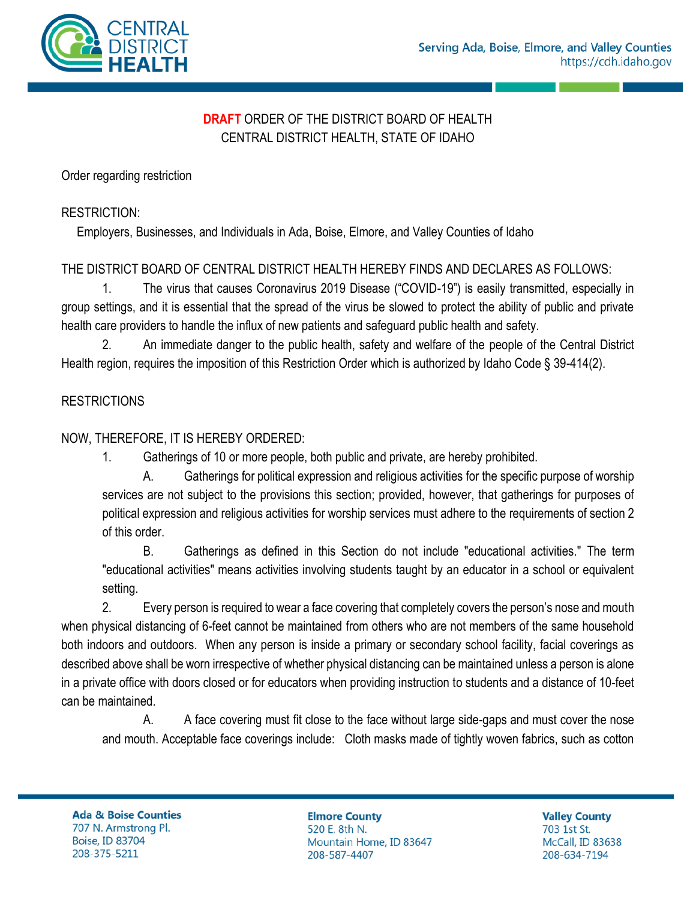

# **DRAFT** ORDER OF THE DISTRICT BOARD OF HEALTH CENTRAL DISTRICT HEALTH, STATE OF IDAHO

Order regarding restriction

#### RESTRICTION:

Employers, Businesses, and Individuals in Ada, Boise, Elmore, and Valley Counties of Idaho

# THE DISTRICT BOARD OF CENTRAL DISTRICT HEALTH HEREBY FINDS AND DECLARES AS FOLLOWS:

1. The virus that causes Coronavirus 2019 Disease ("COVID-19") is easily transmitted, especially in group settings, and it is essential that the spread of the virus be slowed to protect the ability of public and private health care providers to handle the influx of new patients and safeguard public health and safety.

2. An immediate danger to the public health, safety and welfare of the people of the Central District Health region, requires the imposition of this Restriction Order which is authorized by Idaho Code § 39-414(2).

### **RESTRICTIONS**

### NOW, THEREFORE, IT IS HEREBY ORDERED:

1. Gatherings of 10 or more people, both public and private, are hereby prohibited.

A. Gatherings for political expression and religious activities for the specific purpose of worship services are not subject to the provisions this section; provided, however, that gatherings for purposes of political expression and religious activities for worship services must adhere to the requirements of section 2 of this order.

B. Gatherings as defined in this Section do not include "educational activities." The term "educational activities" means activities involving students taught by an educator in a school or equivalent setting.

2. Every person is required to wear a face covering that completely covers the person's nose and mouth when physical distancing of 6-feet cannot be maintained from others who are not members of the same household both indoors and outdoors. When any person is inside a primary or secondary school facility, facial coverings as described above shall be worn irrespective of whether physical distancing can be maintained unless a person is alone in a private office with doors closed or for educators when providing instruction to students and a distance of 10-feet can be maintained.

A. A face covering must fit close to the face without large side-gaps and must cover the nose and mouth. Acceptable face coverings include: Cloth masks made of tightly woven fabrics, such as cotton

**Ada & Boise Counties** 707 N. Armstrong Pl. **Boise, ID 83704** 208-375-5211

**Elmore County** 520 E. 8th N. Mountain Home, ID 83647 208-587-4407

**Valley County** 703 1st St. McCall, ID 83638 208-634-7194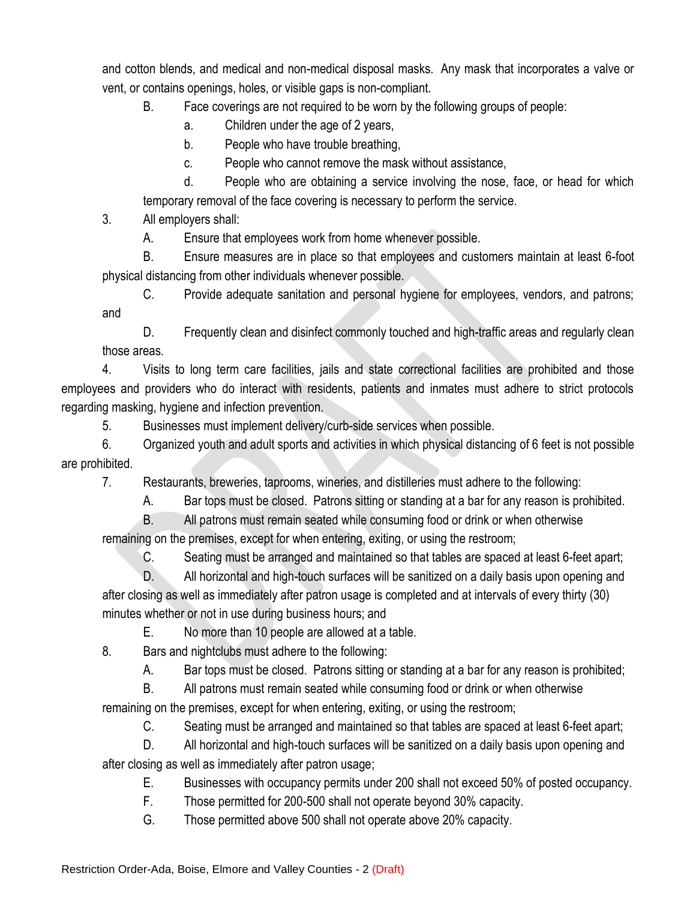and cotton blends, and medical and non-medical disposal masks. Any mask that incorporates a valve or vent, or contains openings, holes, or visible gaps is non-compliant.

B. Face coverings are not required to be worn by the following groups of people:

- a. Children under the age of 2 years,
- b. People who have trouble breathing,
- c. People who cannot remove the mask without assistance,

d. People who are obtaining a service involving the nose, face, or head for which temporary removal of the face covering is necessary to perform the service.

3. All employers shall:

A. Ensure that employees work from home whenever possible.

B. Ensure measures are in place so that employees and customers maintain at least 6-foot physical distancing from other individuals whenever possible.

C. Provide adequate sanitation and personal hygiene for employees, vendors, and patrons; and

D. Frequently clean and disinfect commonly touched and high-traffic areas and regularly clean those areas.

4. Visits to long term care facilities, jails and state correctional facilities are prohibited and those employees and providers who do interact with residents, patients and inmates must adhere to strict protocols regarding masking, hygiene and infection prevention.

5. Businesses must implement delivery/curb-side services when possible.

6. Organized youth and adult sports and activities in which physical distancing of 6 feet is not possible are prohibited.

7. Restaurants, breweries, taprooms, wineries, and distilleries must adhere to the following:

A. Bar tops must be closed. Patrons sitting or standing at a bar for any reason is prohibited.

B. All patrons must remain seated while consuming food or drink or when otherwise

remaining on the premises, except for when entering, exiting, or using the restroom;

C. Seating must be arranged and maintained so that tables are spaced at least 6-feet apart;

D. All horizontal and high-touch surfaces will be sanitized on a daily basis upon opening and after closing as well as immediately after patron usage is completed and at intervals of every thirty (30) minutes whether or not in use during business hours; and

E. No more than 10 people are allowed at a table.

8. Bars and nightclubs must adhere to the following:

A. Bar tops must be closed. Patrons sitting or standing at a bar for any reason is prohibited;

B. All patrons must remain seated while consuming food or drink or when otherwise

remaining on the premises, except for when entering, exiting, or using the restroom;

C. Seating must be arranged and maintained so that tables are spaced at least 6-feet apart;

D. All horizontal and high-touch surfaces will be sanitized on a daily basis upon opening and after closing as well as immediately after patron usage;

E. Businesses with occupancy permits under 200 shall not exceed 50% of posted occupancy.

F. Those permitted for 200-500 shall not operate beyond 30% capacity.

G. Those permitted above 500 shall not operate above 20% capacity.